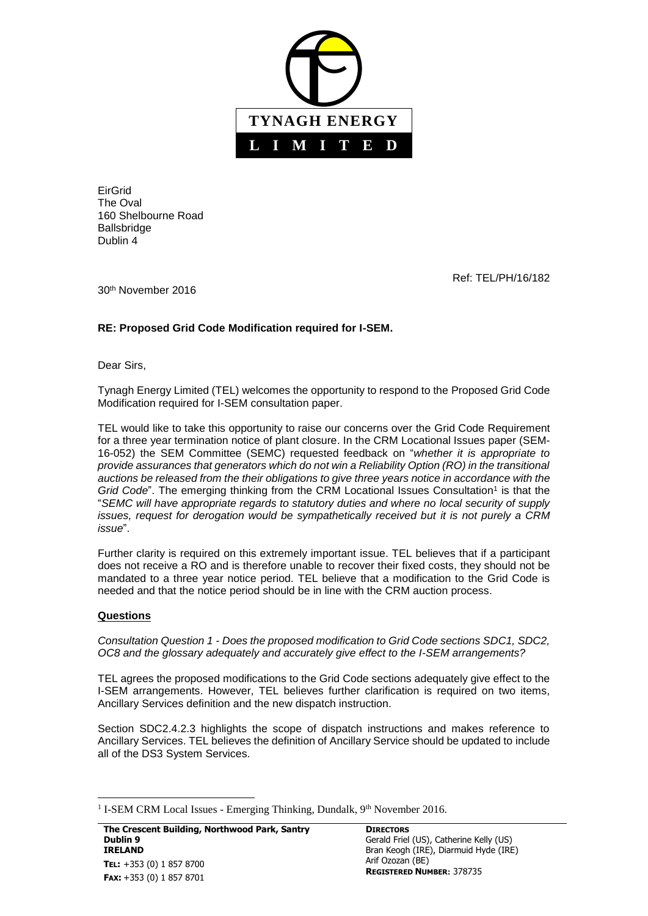

EirGrid The Oval 160 Shelbourne Road Ballsbridge Dublin 4

Ref: TEL/PH/16/182

30th November 2016

## **RE: Proposed Grid Code Modification required for I-SEM.**

Dear Sirs,

Tynagh Energy Limited (TEL) welcomes the opportunity to respond to the Proposed Grid Code Modification required for I-SEM consultation paper.

TEL would like to take this opportunity to raise our concerns over the Grid Code Requirement for a three year termination notice of plant closure. In the CRM Locational Issues paper (SEM-16-052) the SEM Committee (SEMC) requested feedback on "*whether it is appropriate to provide assurances that generators which do not win a Reliability Option (RO) in the transitional auctions be released from the their obligations to give three years notice in accordance with the* Grid Code". The emerging thinking from the CRM Locational Issues Consultation<sup>1</sup> is that the "*SEMC will have appropriate regards to statutory duties and where no local security of supply issues, request for derogation would be sympathetically received but it is not purely a CRM issue*".

Further clarity is required on this extremely important issue. TEL believes that if a participant does not receive a RO and is therefore unable to recover their fixed costs, they should not be mandated to a three year notice period. TEL believe that a modification to the Grid Code is needed and that the notice period should be in line with the CRM auction process.

## **Questions**

 $\overline{\phantom{a}}$ 

*Consultation Question 1 - Does the proposed modification to Grid Code sections SDC1, SDC2, OC8 and the glossary adequately and accurately give effect to the I-SEM arrangements?*

TEL agrees the proposed modifications to the Grid Code sections adequately give effect to the I-SEM arrangements. However, TEL believes further clarification is required on two items, Ancillary Services definition and the new dispatch instruction.

Section SDC2.4.2.3 highlights the scope of dispatch instructions and makes reference to Ancillary Services. TEL believes the definition of Ancillary Service should be updated to include all of the DS3 System Services.

<sup>&</sup>lt;sup>1</sup> I-SEM CRM Local Issues - Emerging Thinking, Dundalk,  $9<sup>th</sup>$  November 2016.